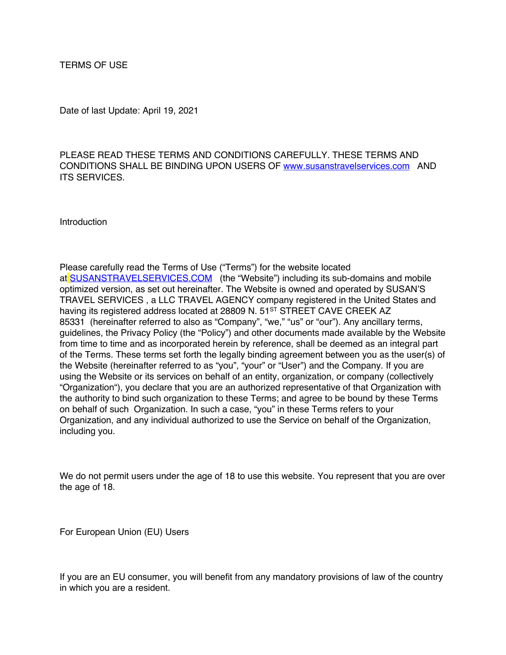TERMS OF USE

Date of last Update: April 19, 2021

PLEASE READ THESE TERMS AND CONDITIONS CAREFULLY. THESE TERMS AND CONDITIONS SHALL BE BINDING UPON USERS OF www.susanstravelservices.com AND ITS SERVICES.

**Introduction** 

Please carefully read the Terms of Use ("Terms") for the website located at SUSANSTRAVELSERVICES.COM (the "Website") including its sub-domains and mobile optimized version, as set out hereinafter. The Website is owned and operated by SUSAN'S TRAVEL SERVICES , a LLC TRAVEL AGENCY company registered in the United States and having its registered address located at 28809 N. 51<sup>ST</sup> STREET CAVE CREEK AZ 85331 (hereinafter referred to also as "Company", "we," "us" or "our"). Any ancillary terms, guidelines, the Privacy Policy (the "Policy") and other documents made available by the Website from time to time and as incorporated herein by reference, shall be deemed as an integral part of the Terms. These terms set forth the legally binding agreement between you as the user(s) of the Website (hereinafter referred to as "you", "your" or "User") and the Company. If you are using the Website or its services on behalf of an entity, organization, or company (collectively "Organization"), you declare that you are an authorized representative of that Organization with the authority to bind such organization to these Terms; and agree to be bound by these Terms on behalf of such Organization. In such a case, "you" in these Terms refers to your Organization, and any individual authorized to use the Service on behalf of the Organization, including you.

We do not permit users under the age of 18 to use this website. You represent that you are over the age of 18.

For European Union (EU) Users

If you are an EU consumer, you will benefit from any mandatory provisions of law of the country in which you are a resident.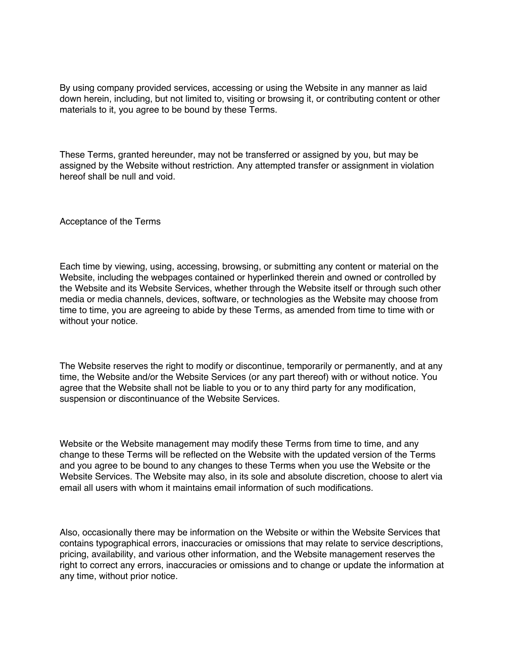By using company provided services, accessing or using the Website in any manner as laid down herein, including, but not limited to, visiting or browsing it, or contributing content or other materials to it, you agree to be bound by these Terms.

These Terms, granted hereunder, may not be transferred or assigned by you, but may be assigned by the Website without restriction. Any attempted transfer or assignment in violation hereof shall be null and void.

Acceptance of the Terms

Each time by viewing, using, accessing, browsing, or submitting any content or material on the Website, including the webpages contained or hyperlinked therein and owned or controlled by the Website and its Website Services, whether through the Website itself or through such other media or media channels, devices, software, or technologies as the Website may choose from time to time, you are agreeing to abide by these Terms, as amended from time to time with or without your notice.

The Website reserves the right to modify or discontinue, temporarily or permanently, and at any time, the Website and/or the Website Services (or any part thereof) with or without notice. You agree that the Website shall not be liable to you or to any third party for any modification, suspension or discontinuance of the Website Services.

Website or the Website management may modify these Terms from time to time, and any change to these Terms will be reflected on the Website with the updated version of the Terms and you agree to be bound to any changes to these Terms when you use the Website or the Website Services. The Website may also, in its sole and absolute discretion, choose to alert via email all users with whom it maintains email information of such modifications.

Also, occasionally there may be information on the Website or within the Website Services that contains typographical errors, inaccuracies or omissions that may relate to service descriptions, pricing, availability, and various other information, and the Website management reserves the right to correct any errors, inaccuracies or omissions and to change or update the information at any time, without prior notice.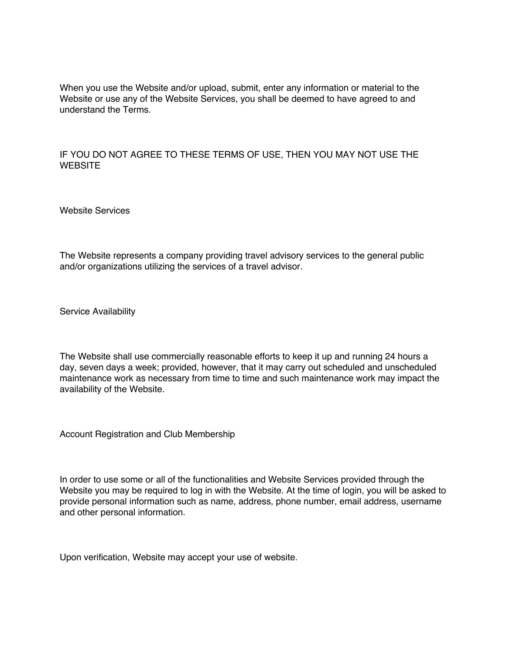When you use the Website and/or upload, submit, enter any information or material to the Website or use any of the Website Services, you shall be deemed to have agreed to and understand the Terms.

# IF YOU DO NOT AGREE TO THESE TERMS OF USE, THEN YOU MAY NOT USE THE **WEBSITE**

Website Services

The Website represents a company providing travel advisory services to the general public and/or organizations utilizing the services of a travel advisor.

Service Availability

The Website shall use commercially reasonable efforts to keep it up and running 24 hours a day, seven days a week; provided, however, that it may carry out scheduled and unscheduled maintenance work as necessary from time to time and such maintenance work may impact the availability of the Website.

Account Registration and Club Membership

In order to use some or all of the functionalities and Website Services provided through the Website you may be required to log in with the Website. At the time of login, you will be asked to provide personal information such as name, address, phone number, email address, username and other personal information.

Upon verification, Website may accept your use of website.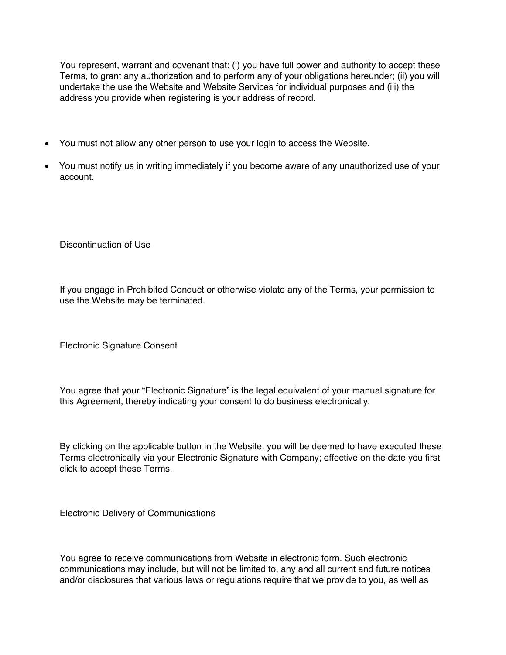You represent, warrant and covenant that: (i) you have full power and authority to accept these Terms, to grant any authorization and to perform any of your obligations hereunder; (ii) you will undertake the use the Website and Website Services for individual purposes and (iii) the address you provide when registering is your address of record.

- You must not allow any other person to use your login to access the Website.
- You must notify us in writing immediately if you become aware of any unauthorized use of your account.

Discontinuation of Use

If you engage in Prohibited Conduct or otherwise violate any of the Terms, your permission to use the Website may be terminated.

Electronic Signature Consent

You agree that your "Electronic Signature" is the legal equivalent of your manual signature for this Agreement, thereby indicating your consent to do business electronically.

By clicking on the applicable button in the Website, you will be deemed to have executed these Terms electronically via your Electronic Signature with Company; effective on the date you first click to accept these Terms.

Electronic Delivery of Communications

You agree to receive communications from Website in electronic form. Such electronic communications may include, but will not be limited to, any and all current and future notices and/or disclosures that various laws or regulations require that we provide to you, as well as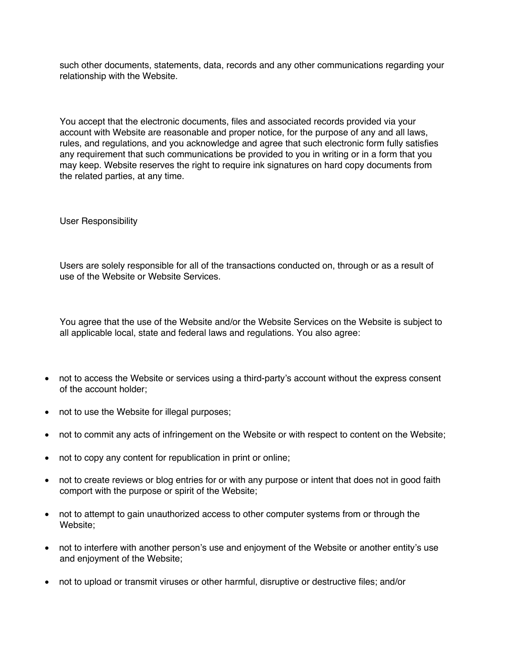such other documents, statements, data, records and any other communications regarding your relationship with the Website.

You accept that the electronic documents, files and associated records provided via your account with Website are reasonable and proper notice, for the purpose of any and all laws, rules, and regulations, and you acknowledge and agree that such electronic form fully satisfies any requirement that such communications be provided to you in writing or in a form that you may keep. Website reserves the right to require ink signatures on hard copy documents from the related parties, at any time.

User Responsibility

Users are solely responsible for all of the transactions conducted on, through or as a result of use of the Website or Website Services.

You agree that the use of the Website and/or the Website Services on the Website is subject to all applicable local, state and federal laws and regulations. You also agree:

- not to access the Website or services using a third-party's account without the express consent of the account holder;
- not to use the Website for illegal purposes;
- not to commit any acts of infringement on the Website or with respect to content on the Website;
- not to copy any content for republication in print or online;
- not to create reviews or blog entries for or with any purpose or intent that does not in good faith comport with the purpose or spirit of the Website;
- not to attempt to gain unauthorized access to other computer systems from or through the Website;
- not to interfere with another person's use and enjoyment of the Website or another entity's use and enjoyment of the Website;
- not to upload or transmit viruses or other harmful, disruptive or destructive files; and/or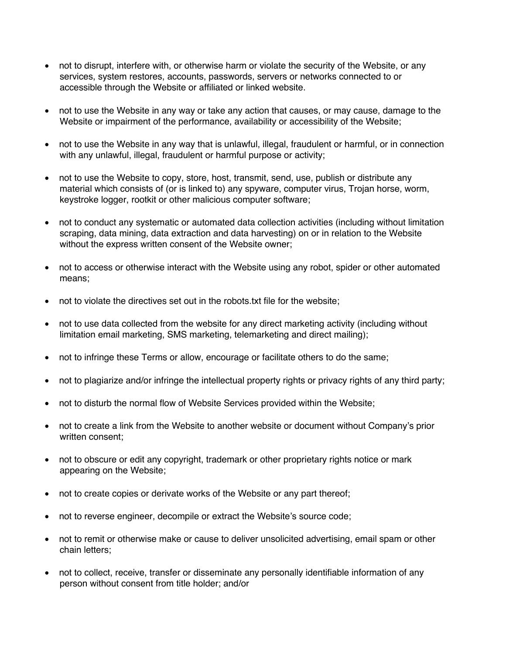- not to disrupt, interfere with, or otherwise harm or violate the security of the Website, or any services, system restores, accounts, passwords, servers or networks connected to or accessible through the Website or affiliated or linked website.
- not to use the Website in any way or take any action that causes, or may cause, damage to the Website or impairment of the performance, availability or accessibility of the Website;
- not to use the Website in any way that is unlawful, illegal, fraudulent or harmful, or in connection with any unlawful, illegal, fraudulent or harmful purpose or activity;
- not to use the Website to copy, store, host, transmit, send, use, publish or distribute any material which consists of (or is linked to) any spyware, computer virus, Trojan horse, worm, keystroke logger, rootkit or other malicious computer software;
- not to conduct any systematic or automated data collection activities (including without limitation scraping, data mining, data extraction and data harvesting) on or in relation to the Website without the express written consent of the Website owner;
- not to access or otherwise interact with the Website using any robot, spider or other automated means;
- not to violate the directives set out in the robots.txt file for the website;
- not to use data collected from the website for any direct marketing activity (including without limitation email marketing, SMS marketing, telemarketing and direct mailing);
- not to infringe these Terms or allow, encourage or facilitate others to do the same;
- not to plagiarize and/or infringe the intellectual property rights or privacy rights of any third party;
- not to disturb the normal flow of Website Services provided within the Website;
- not to create a link from the Website to another website or document without Company's prior written consent;
- not to obscure or edit any copyright, trademark or other proprietary rights notice or mark appearing on the Website;
- not to create copies or derivate works of the Website or any part thereof;
- not to reverse engineer, decompile or extract the Website's source code;
- not to remit or otherwise make or cause to deliver unsolicited advertising, email spam or other chain letters;
- not to collect, receive, transfer or disseminate any personally identifiable information of any person without consent from title holder; and/or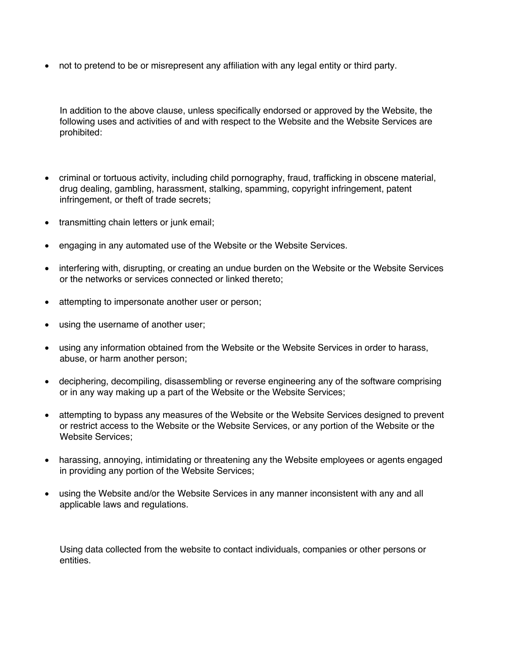• not to pretend to be or misrepresent any affiliation with any legal entity or third party.

In addition to the above clause, unless specifically endorsed or approved by the Website, the following uses and activities of and with respect to the Website and the Website Services are prohibited:

- criminal or tortuous activity, including child pornography, fraud, trafficking in obscene material, drug dealing, gambling, harassment, stalking, spamming, copyright infringement, patent infringement, or theft of trade secrets;
- transmitting chain letters or junk email:
- engaging in any automated use of the Website or the Website Services.
- interfering with, disrupting, or creating an undue burden on the Website or the Website Services or the networks or services connected or linked thereto;
- attempting to impersonate another user or person;
- using the username of another user;
- using any information obtained from the Website or the Website Services in order to harass, abuse, or harm another person;
- deciphering, decompiling, disassembling or reverse engineering any of the software comprising or in any way making up a part of the Website or the Website Services;
- attempting to bypass any measures of the Website or the Website Services designed to prevent or restrict access to the Website or the Website Services, or any portion of the Website or the Website Services;
- harassing, annoying, intimidating or threatening any the Website employees or agents engaged in providing any portion of the Website Services;
- using the Website and/or the Website Services in any manner inconsistent with any and all applicable laws and regulations.

Using data collected from the website to contact individuals, companies or other persons or entities.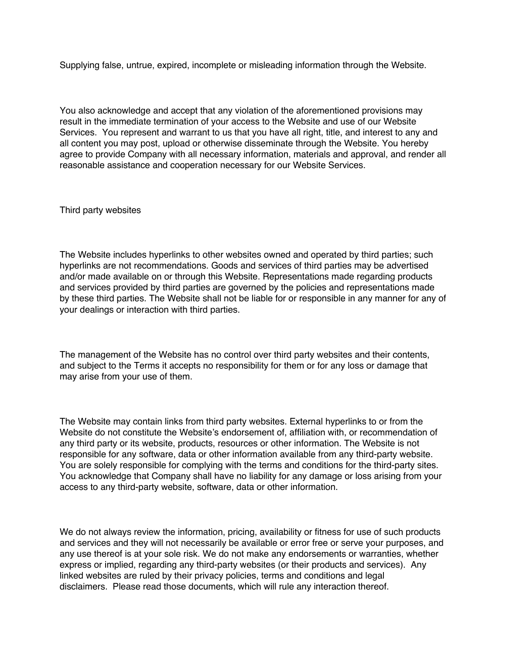Supplying false, untrue, expired, incomplete or misleading information through the Website.

You also acknowledge and accept that any violation of the aforementioned provisions may result in the immediate termination of your access to the Website and use of our Website Services. You represent and warrant to us that you have all right, title, and interest to any and all content you may post, upload or otherwise disseminate through the Website. You hereby agree to provide Company with all necessary information, materials and approval, and render all reasonable assistance and cooperation necessary for our Website Services.

Third party websites

The Website includes hyperlinks to other websites owned and operated by third parties; such hyperlinks are not recommendations. Goods and services of third parties may be advertised and/or made available on or through this Website. Representations made regarding products and services provided by third parties are governed by the policies and representations made by these third parties. The Website shall not be liable for or responsible in any manner for any of your dealings or interaction with third parties.

The management of the Website has no control over third party websites and their contents, and subject to the Terms it accepts no responsibility for them or for any loss or damage that may arise from your use of them.

The Website may contain links from third party websites. External hyperlinks to or from the Website do not constitute the Website's endorsement of, affiliation with, or recommendation of any third party or its website, products, resources or other information. The Website is not responsible for any software, data or other information available from any third-party website. You are solely responsible for complying with the terms and conditions for the third-party sites. You acknowledge that Company shall have no liability for any damage or loss arising from your access to any third-party website, software, data or other information.

We do not always review the information, pricing, availability or fitness for use of such products and services and they will not necessarily be available or error free or serve your purposes, and any use thereof is at your sole risk. We do not make any endorsements or warranties, whether express or implied, regarding any third-party websites (or their products and services). Any linked websites are ruled by their privacy policies, terms and conditions and legal disclaimers. Please read those documents, which will rule any interaction thereof.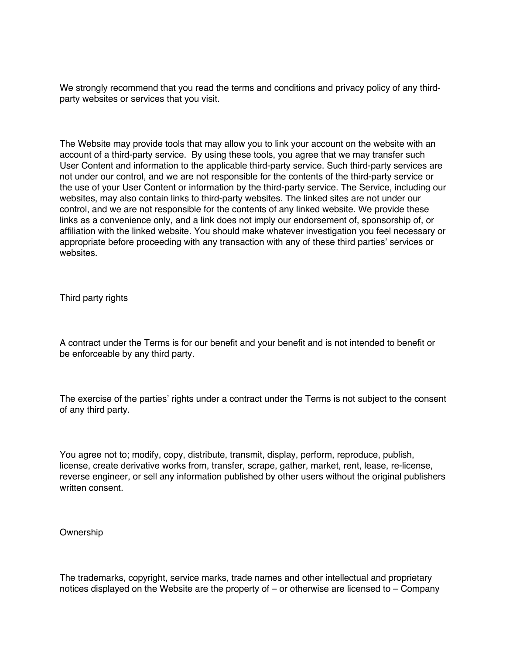We strongly recommend that you read the terms and conditions and privacy policy of any thirdparty websites or services that you visit.

The Website may provide tools that may allow you to link your account on the website with an account of a third-party service. By using these tools, you agree that we may transfer such User Content and information to the applicable third-party service. Such third-party services are not under our control, and we are not responsible for the contents of the third-party service or the use of your User Content or information by the third-party service. The Service, including our websites, may also contain links to third-party websites. The linked sites are not under our control, and we are not responsible for the contents of any linked website. We provide these links as a convenience only, and a link does not imply our endorsement of, sponsorship of, or affiliation with the linked website. You should make whatever investigation you feel necessary or appropriate before proceeding with any transaction with any of these third parties' services or websites.

Third party rights

A contract under the Terms is for our benefit and your benefit and is not intended to benefit or be enforceable by any third party.

The exercise of the parties' rights under a contract under the Terms is not subject to the consent of any third party.

You agree not to; modify, copy, distribute, transmit, display, perform, reproduce, publish, license, create derivative works from, transfer, scrape, gather, market, rent, lease, re-license, reverse engineer, or sell any information published by other users without the original publishers written consent.

### Ownership

The trademarks, copyright, service marks, trade names and other intellectual and proprietary notices displayed on the Website are the property of – or otherwise are licensed to – Company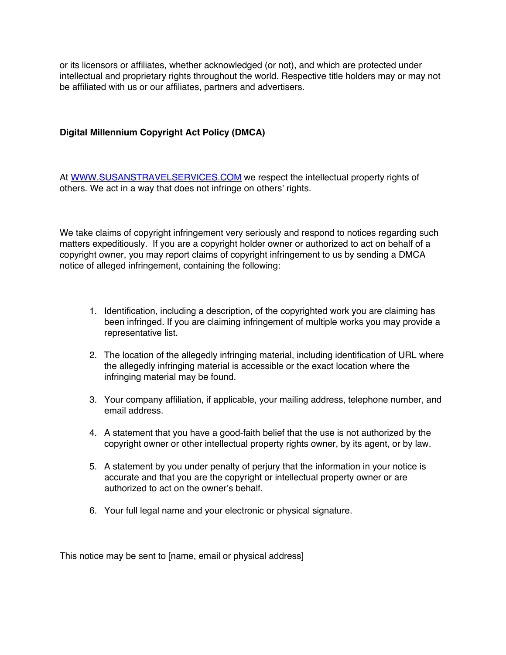or its licensors or affiliates, whether acknowledged (or not), and which are protected under intellectual and proprietary rights throughout the world. Respective title holders may or may not be affiliated with us or our affiliates, partners and advertisers.

# **Digital Millennium Copyright Act Policy (DMCA)**

At WWW.SUSANSTRAVELSERVICES.COM we respect the intellectual property rights of others. We act in a way that does not infringe on others' rights.

We take claims of copyright infringement very seriously and respond to notices regarding such matters expeditiously. If you are a copyright holder owner or authorized to act on behalf of a copyright owner, you may report claims of copyright infringement to us by sending a DMCA notice of alleged infringement, containing the following:

- 1. Identification, including a description, of the copyrighted work you are claiming has been infringed. If you are claiming infringement of multiple works you may provide a representative list.
- 2. The location of the allegedly infringing material, including identification of URL where the allegedly infringing material is accessible or the exact location where the infringing material may be found.
- 3. Your company affiliation, if applicable, your mailing address, telephone number, and email address.
- 4. A statement that you have a good-faith belief that the use is not authorized by the copyright owner or other intellectual property rights owner, by its agent, or by law.
- 5. A statement by you under penalty of perjury that the information in your notice is accurate and that you are the copyright or intellectual property owner or are authorized to act on the owner's behalf.
- 6. Your full legal name and your electronic or physical signature.

This notice may be sent to [name, email or physical address]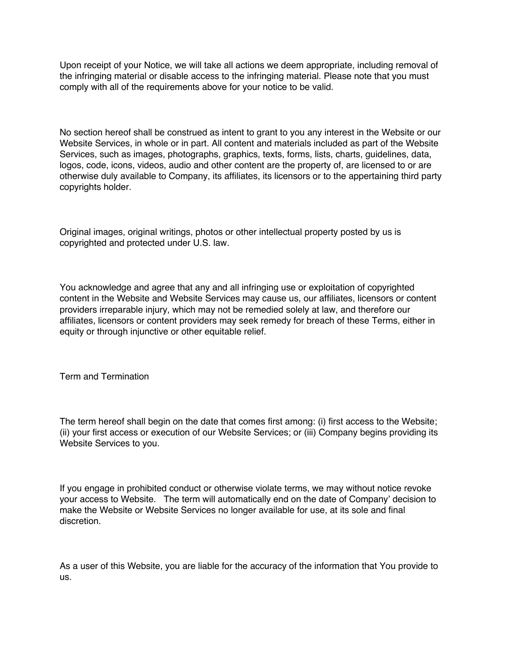Upon receipt of your Notice, we will take all actions we deem appropriate, including removal of the infringing material or disable access to the infringing material. Please note that you must comply with all of the requirements above for your notice to be valid.

No section hereof shall be construed as intent to grant to you any interest in the Website or our Website Services, in whole or in part. All content and materials included as part of the Website Services, such as images, photographs, graphics, texts, forms, lists, charts, guidelines, data, logos, code, icons, videos, audio and other content are the property of, are licensed to or are otherwise duly available to Company, its affiliates, its licensors or to the appertaining third party copyrights holder.

Original images, original writings, photos or other intellectual property posted by us is copyrighted and protected under U.S. law.

You acknowledge and agree that any and all infringing use or exploitation of copyrighted content in the Website and Website Services may cause us, our affiliates, licensors or content providers irreparable injury, which may not be remedied solely at law, and therefore our affiliates, licensors or content providers may seek remedy for breach of these Terms, either in equity or through injunctive or other equitable relief.

Term and Termination

The term hereof shall begin on the date that comes first among: (i) first access to the Website; (ii) your first access or execution of our Website Services; or (iii) Company begins providing its Website Services to you.

If you engage in prohibited conduct or otherwise violate terms, we may without notice revoke your access to Website. The term will automatically end on the date of Company' decision to make the Website or Website Services no longer available for use, at its sole and final discretion.

As a user of this Website, you are liable for the accuracy of the information that You provide to us.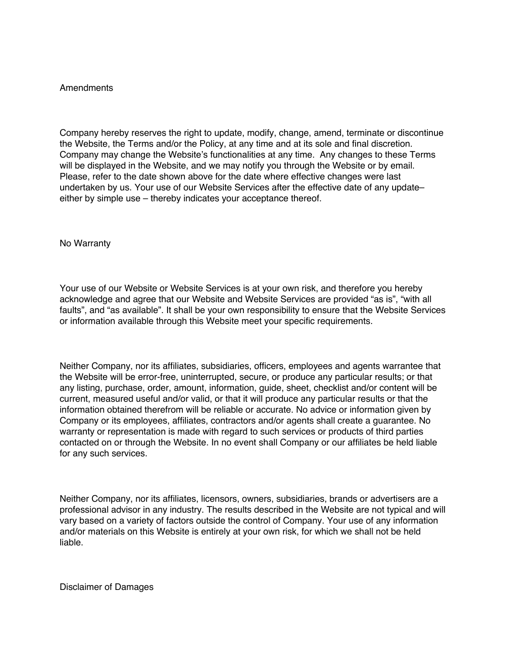## Amendments

Company hereby reserves the right to update, modify, change, amend, terminate or discontinue the Website, the Terms and/or the Policy, at any time and at its sole and final discretion. Company may change the Website's functionalities at any time. Any changes to these Terms will be displayed in the Website, and we may notify you through the Website or by email. Please, refer to the date shown above for the date where effective changes were last undertaken by us. Your use of our Website Services after the effective date of any updateeither by simple use – thereby indicates your acceptance thereof.

No Warranty

Your use of our Website or Website Services is at your own risk, and therefore you hereby acknowledge and agree that our Website and Website Services are provided "as is", "with all faults", and "as available". It shall be your own responsibility to ensure that the Website Services or information available through this Website meet your specific requirements.

Neither Company, nor its affiliates, subsidiaries, officers, employees and agents warrantee that the Website will be error-free, uninterrupted, secure, or produce any particular results; or that any listing, purchase, order, amount, information, guide, sheet, checklist and/or content will be current, measured useful and/or valid, or that it will produce any particular results or that the information obtained therefrom will be reliable or accurate. No advice or information given by Company or its employees, affiliates, contractors and/or agents shall create a guarantee. No warranty or representation is made with regard to such services or products of third parties contacted on or through the Website. In no event shall Company or our affiliates be held liable for any such services.

Neither Company, nor its affiliates, licensors, owners, subsidiaries, brands or advertisers are a professional advisor in any industry. The results described in the Website are not typical and will vary based on a variety of factors outside the control of Company. Your use of any information and/or materials on this Website is entirely at your own risk, for which we shall not be held liable.

Disclaimer of Damages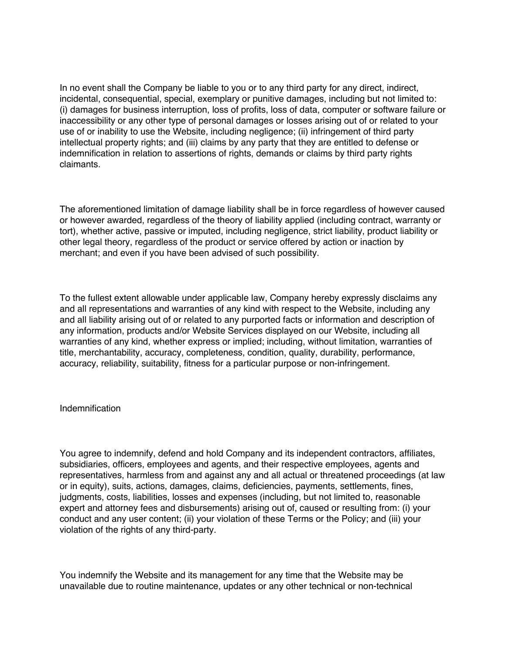In no event shall the Company be liable to you or to any third party for any direct, indirect, incidental, consequential, special, exemplary or punitive damages, including but not limited to: (i) damages for business interruption, loss of profits, loss of data, computer or software failure or inaccessibility or any other type of personal damages or losses arising out of or related to your use of or inability to use the Website, including negligence; (ii) infringement of third party intellectual property rights; and (iii) claims by any party that they are entitled to defense or indemnification in relation to assertions of rights, demands or claims by third party rights claimants.

The aforementioned limitation of damage liability shall be in force regardless of however caused or however awarded, regardless of the theory of liability applied (including contract, warranty or tort), whether active, passive or imputed, including negligence, strict liability, product liability or other legal theory, regardless of the product or service offered by action or inaction by merchant; and even if you have been advised of such possibility.

To the fullest extent allowable under applicable law, Company hereby expressly disclaims any and all representations and warranties of any kind with respect to the Website, including any and all liability arising out of or related to any purported facts or information and description of any information, products and/or Website Services displayed on our Website, including all warranties of any kind, whether express or implied; including, without limitation, warranties of title, merchantability, accuracy, completeness, condition, quality, durability, performance, accuracy, reliability, suitability, fitness for a particular purpose or non-infringement.

### Indemnification

You agree to indemnify, defend and hold Company and its independent contractors, affiliates, subsidiaries, officers, employees and agents, and their respective employees, agents and representatives, harmless from and against any and all actual or threatened proceedings (at law or in equity), suits, actions, damages, claims, deficiencies, payments, settlements, fines, judgments, costs, liabilities, losses and expenses (including, but not limited to, reasonable expert and attorney fees and disbursements) arising out of, caused or resulting from: (i) your conduct and any user content; (ii) your violation of these Terms or the Policy; and (iii) your violation of the rights of any third-party.

You indemnify the Website and its management for any time that the Website may be unavailable due to routine maintenance, updates or any other technical or non-technical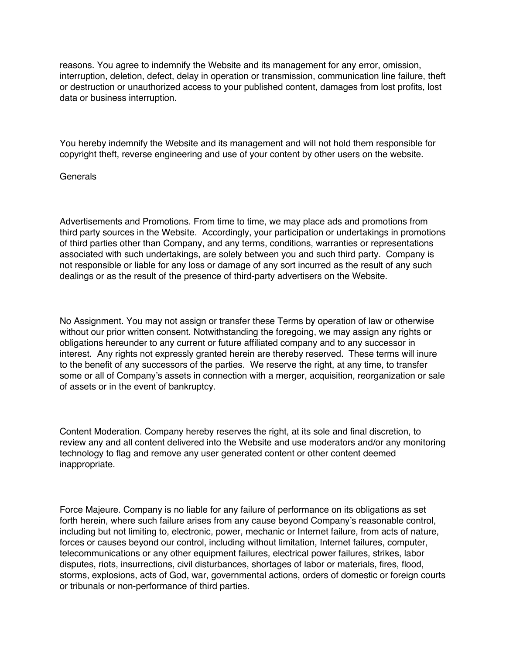reasons. You agree to indemnify the Website and its management for any error, omission, interruption, deletion, defect, delay in operation or transmission, communication line failure, theft or destruction or unauthorized access to your published content, damages from lost profits, lost data or business interruption.

You hereby indemnify the Website and its management and will not hold them responsible for copyright theft, reverse engineering and use of your content by other users on the website.

# **Generals**

Advertisements and Promotions. From time to time, we may place ads and promotions from third party sources in the Website. Accordingly, your participation or undertakings in promotions of third parties other than Company, and any terms, conditions, warranties or representations associated with such undertakings, are solely between you and such third party. Company is not responsible or liable for any loss or damage of any sort incurred as the result of any such dealings or as the result of the presence of third-party advertisers on the Website.

No Assignment. You may not assign or transfer these Terms by operation of law or otherwise without our prior written consent. Notwithstanding the foregoing, we may assign any rights or obligations hereunder to any current or future affiliated company and to any successor in interest. Any rights not expressly granted herein are thereby reserved. These terms will inure to the benefit of any successors of the parties. We reserve the right, at any time, to transfer some or all of Company's assets in connection with a merger, acquisition, reorganization or sale of assets or in the event of bankruptcy.

Content Moderation. Company hereby reserves the right, at its sole and final discretion, to review any and all content delivered into the Website and use moderators and/or any monitoring technology to flag and remove any user generated content or other content deemed inappropriate.

Force Majeure. Company is no liable for any failure of performance on its obligations as set forth herein, where such failure arises from any cause beyond Company's reasonable control, including but not limiting to, electronic, power, mechanic or Internet failure, from acts of nature, forces or causes beyond our control, including without limitation, Internet failures, computer, telecommunications or any other equipment failures, electrical power failures, strikes, labor disputes, riots, insurrections, civil disturbances, shortages of labor or materials, fires, flood, storms, explosions, acts of God, war, governmental actions, orders of domestic or foreign courts or tribunals or non-performance of third parties.